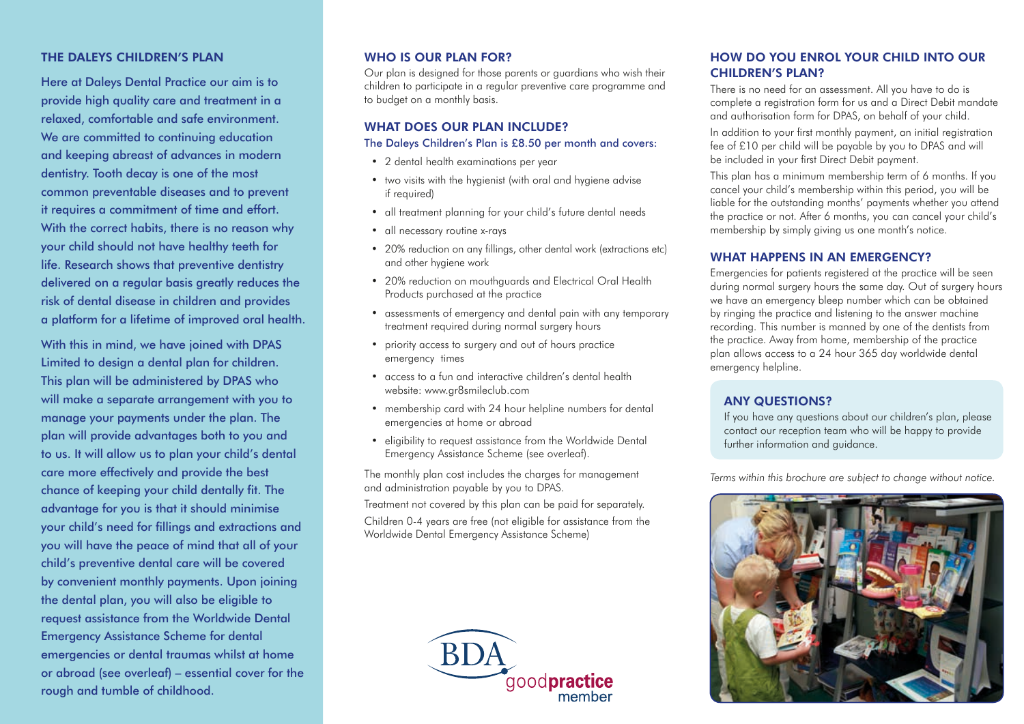## THE DALEYS CHILDREN'S PLAN

Here at Daleys Dental Practice our aim is to provide high quality care and treatment in a relaxed, comfortable and safe environment. We are committed to continuing education and keeping abreast of advances in modern dentistry. Tooth decay is one of the most common preventable diseases and to prevent it requires a commitment of time and effort. With the correct habits, there is no reason why your child should not have healthy teeth for life. Research shows that preventive dentistry delivered on a regular basis greatly reduces the risk of dental disease in children and provides a platform for a lifetime of improved oral health.

With this in mind, we have joined with DPAS Limited to design a dental plan for children. This plan will be administered by DPAS who will make a separate arrangement with you to manage your payments under the plan. The plan will provide advantages both to you and to us. It will allow us to plan your child's dental care more effectively and provide the best chance of keeping your child dentally fit. The advantage for you is that it should minimise your child's need for fillings and extractions and you will have the peace of mind that all of your child's preventive dental care will be covered by convenient monthly payments. Upon joining the dental plan, you will also be eligible to request assistance from the Worldwide Dental Emergency Assistance Scheme for dental emergencies or dental traumas whilst at home or abroad (see overleaf) – essential cover for the rough and tumble of childhood.

## WHO IS OUR PLAN FOR?

Our plan is designed for those parents or guardians who wish their children to participate in a regular preventive care programme and to budget on a monthly basis.

## WHAT DOES OUR PLAN INCLUDE?

#### The Daleys Children's Plan is £8.50 per month and covers:

- 2 dental health examinations per year
- two visits with the hygienist (with oral and hygiene advise if required)
- all treatment planning for your child's future dental needs
- all necessary routine x-rays
- 20% reduction on any fillings, other dental work (extractions etc) and other hygiene work
- 20% reduction on mouthguards and Electrical Oral Health Products purchased at the practice
- assessments of emergency and dental pain with any temporary treatment required during normal surgery hours
- priority access to surgery and out of hours practice emergency times
- access to a fun and interactive children's dental health website: www.gr8smileclub.com
- membership card with 24 hour helpline numbers for dental emergencies at home or abroad
- eligibility to request assistance from the Worldwide Dental Emergency Assistance Scheme (see overleaf).

The monthly plan cost includes the charges for management and administration payable by you to DPAS.

Treatment not covered by this plan can be paid for separately. Children 0-4 years are free (not eligible for assistance from the Worldwide Dental Emergency Assistance Scheme)



## HOW DO YOU ENROL YOUR CHILD INTO OUR CHILDREN'S PLAN?

There is no need for an assessment. All you have to do is complete a registration form for us and a Direct Debit mandate and authorisation form for DPAS, on behalf of your child.

In addition to your first monthly payment, an initial registration fee of £10 per child will be payable by you to DPAS and will be included in your first Direct Debit payment.

This plan has a minimum membership term of 6 months. If you cancel your child's membership within this period, you will be liable for the outstanding months' payments whether you attend the practice or not. After 6 months, you can cancel your child's membership by simply giving us one month's notice.

## WHAT HAPPENS IN AN EMERGENCY?

Emergencies for patients registered at the practice will be seen during normal surgery hours the same day. Out of surgery hours we have an emergency bleep number which can be obtained by ringing the practice and listening to the answer machine recording. This number is manned by one of the dentists from the practice. Away from home, membership of the practice plan allows access to a 24 hour 365 day worldwide dental emergency helpline.

## ANY QUESTIONS?

If you have any questions about our children's plan, please contact our reception team who will be happy to provide further information and guidance.

*Terms within this brochure are subject to change without notice.*